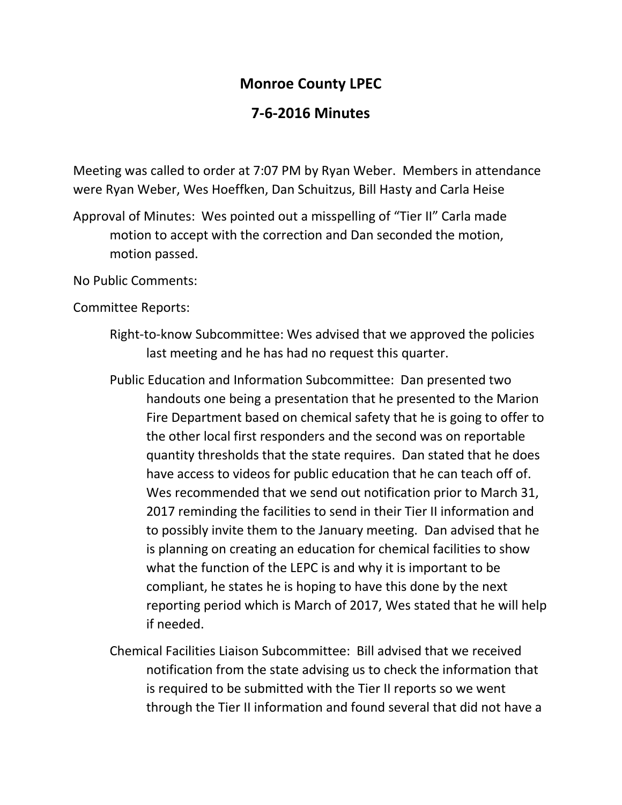## **Monroe County LPEC**

## **7-6-2016 Minutes**

Meeting was called to order at 7:07 PM by Ryan Weber. Members in attendance were Ryan Weber, Wes Hoeffken, Dan Schuitzus, Bill Hasty and Carla Heise

Approval of Minutes: Wes pointed out a misspelling of "Tier II" Carla made motion to accept with the correction and Dan seconded the motion, motion passed.

No Public Comments:

Committee Reports:

- Right-to-know Subcommittee: Wes advised that we approved the policies last meeting and he has had no request this quarter.
- Public Education and Information Subcommittee: Dan presented two handouts one being a presentation that he presented to the Marion Fire Department based on chemical safety that he is going to offer to the other local first responders and the second was on reportable quantity thresholds that the state requires. Dan stated that he does have access to videos for public education that he can teach off of. Wes recommended that we send out notification prior to March 31, 2017 reminding the facilities to send in their Tier II information and to possibly invite them to the January meeting. Dan advised that he is planning on creating an education for chemical facilities to show what the function of the LEPC is and why it is important to be compliant, he states he is hoping to have this done by the next reporting period which is March of 2017, Wes stated that he will help if needed.
- Chemical Facilities Liaison Subcommittee: Bill advised that we received notification from the state advising us to check the information that is required to be submitted with the Tier II reports so we went through the Tier II information and found several that did not have a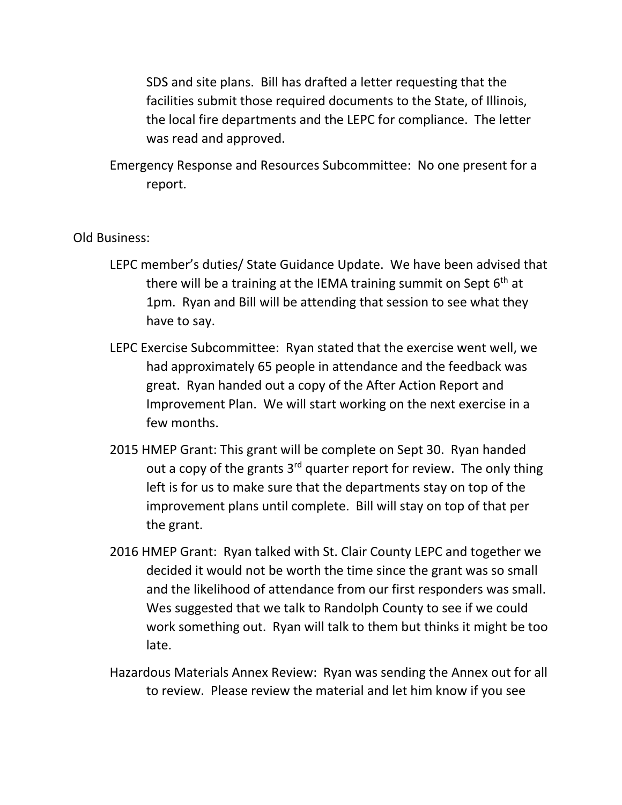SDS and site plans. Bill has drafted a letter requesting that the facilities submit those required documents to the State, of Illinois, the local fire departments and the LEPC for compliance. The letter was read and approved.

Emergency Response and Resources Subcommittee: No one present for a report.

## Old Business:

- LEPC member's duties/ State Guidance Update. We have been advised that there will be a training at the IEMA training summit on Sept  $6<sup>th</sup>$  at 1pm. Ryan and Bill will be attending that session to see what they have to say.
- LEPC Exercise Subcommittee: Ryan stated that the exercise went well, we had approximately 65 people in attendance and the feedback was great. Ryan handed out a copy of the After Action Report and Improvement Plan. We will start working on the next exercise in a few months.
- 2015 HMEP Grant: This grant will be complete on Sept 30. Ryan handed out a copy of the grants  $3<sup>rd</sup>$  quarter report for review. The only thing left is for us to make sure that the departments stay on top of the improvement plans until complete. Bill will stay on top of that per the grant.
- 2016 HMEP Grant: Ryan talked with St. Clair County LEPC and together we decided it would not be worth the time since the grant was so small and the likelihood of attendance from our first responders was small. Wes suggested that we talk to Randolph County to see if we could work something out. Ryan will talk to them but thinks it might be too late.
- Hazardous Materials Annex Review: Ryan was sending the Annex out for all to review. Please review the material and let him know if you see